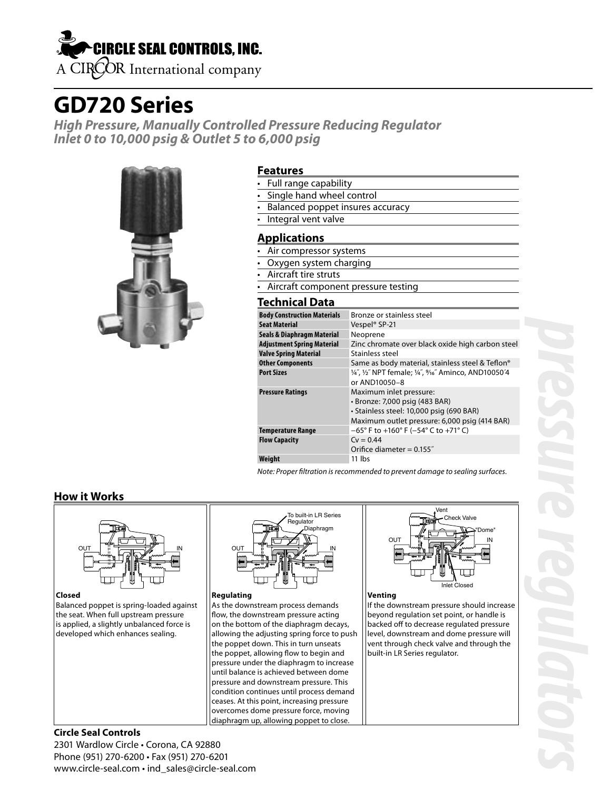# **CIRCLE SEAL CONTROLS, INC.** A CIROOR International company

# **GD720 Series**

**High Pressure, Manually Controlled Pressure Reducing Regulator Inlet 0 to 10,000 psig & Outlet 5 to 6,000 psig**



### **Features**

- Full range capability
- Single hand wheel control
- Balanced poppet insures accuracy
- Integral vent valve

## **Applications**

- Air compressor systems
- Oxygen system charging
- Aircraft tire struts
- Aircraft component pressure testing

## **Technical Data**

| <b>Body Construction Materials</b> | Bronze or stainless steel                                                                                                                              |
|------------------------------------|--------------------------------------------------------------------------------------------------------------------------------------------------------|
| <b>Seat Material</b>               | Vespel <sup>®</sup> SP-21                                                                                                                              |
| Seals & Diaphragm Material         | Neoprene                                                                                                                                               |
| <b>Adjustment Spring Material</b>  | Zinc chromate over black oxide high carbon steel                                                                                                       |
| <b>Valve Spring Material</b>       | Stainless steel                                                                                                                                        |
| <b>Other Components</b>            | Same as body material, stainless steel & Teflon®                                                                                                       |
| <b>Port Sizes</b>                  | 1/4", 1/2" NPT female; 1/4", 9/16" Aminco, AND10050'4<br>or AND10050-8                                                                                 |
| <b>Pressure Ratings</b>            | Maximum inlet pressure:<br>• Bronze: 7,000 psig (483 BAR)<br>· Stainless steel: 10,000 psig (690 BAR)<br>Maximum outlet pressure: 6,000 psig (414 BAR) |
| Temperature Range                  | $-65^{\circ}$ F to +160° F (-54° C to +71° C)                                                                                                          |
| <b>Flow Capacity</b>               | $Cv = 0.44$                                                                                                                                            |
|                                    | Orifice diameter = $0.155$ "                                                                                                                           |
| Weight                             | 11 lbs                                                                                                                                                 |

Note: Proper filtration is recommended to prevent damage to sealing surfaces.

## **How it Works**



**Closed**

Balanced poppet is spring-loaded against the seat. When full upstream pressure is applied, a slightly unbalanced force is developed which enhances sealing.



#### **Regulating**

As the downstream process demands flow, the downstream pressure acting on the bottom of the diaphragm decays, allowing the adjusting spring force to push the poppet down. This in turn unseats the poppet, allowing flow to begin and pressure under the diaphragm to increase until balance is achieved between dome pressure and downstream pressure. This condition continues until process demand ceases. At this point, increasing pressure overcomes dome pressure force, moving diaphragm up, allowing poppet to close.



#### **Venting**

If the downstream pressure should increase beyond regulation set point, or handle is backed off to decrease regulated pressure level, downstream and dome pressure will vent through check valve and through the built-in LR Series regulator.

### **Circle Seal Controls** 2301 Wardlow Circle • Corona, CA 92880 Phone (951) 270-6200 • Fax (951) 270-6201 www.circle-seal.com • ind\_sales@circle-seal.com